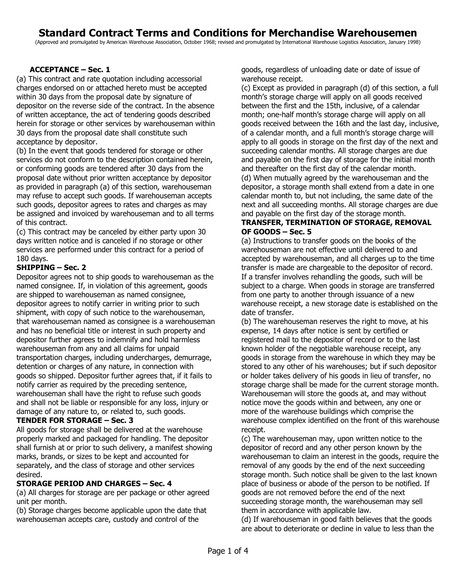**ACCEPTANCE – Sec. 1** 

(a) This contract and rate quotation including accessorial charges endorsed on or attached hereto must be accepted within 30 days from the proposal date by signature of depositor on the reverse side of the contract. In the absence of written acceptance, the act of tendering goods described herein for storage or other services by warehouseman within 30 days from the proposal date shall constitute such acceptance by depositor.

(b) In the event that goods tendered for storage or other services do not conform to the description contained herein, or conforming goods are tendered after 30 days from the proposal date without prior written acceptance by depositor as provided in paragraph (a) of this section, warehouseman may refuse to accept such goods. If warehouseman accepts such goods, depositor agrees to rates and charges as may be assigned and invoiced by warehouseman and to all terms of this contract.

(c) This contract may be canceled by either party upon 30 days written notice and is canceled if no storage or other services are performed under this contract for a period of 180 days.

## **SHIPPING – Sec. 2**

Depositor agrees not to ship goods to warehouseman as the named consignee. If, in violation of this agreement, goods are shipped to warehouseman as named consignee, depositor agrees to notify carrier in writing prior to such shipment, with copy of such notice to the warehouseman, that warehouseman named as consignee is a warehouseman and has no beneficial title or interest in such property and depositor further agrees to indemnify and hold harmless warehouseman from any and all claims for unpaid transportation charges, including undercharges, demurrage, detention or charges of any nature, in connection with goods so shipped. Depositor further agrees that, if it fails to notify carrier as required by the preceding sentence, warehouseman shall have the right to refuse such goods and shall not be liable or responsible for any loss, injury or damage of any nature to, or related to, such goods. **TENDER FOR STORAGE - Sec. 3** 

All goods for storage shall be delivered at the warehouse properly marked and packaged for handling. The depositor shall furnish at or prior to such delivery, a manifest showing marks, brands, or sizes to be kept and accounted for separately, and the class of storage and other services desired.

## **STORAGE PERIOD AND CHARGES - Sec. 4**

(a) All charges for storage are per package or other agreed unit per month.

(b) Storage charges become applicable upon the date that warehouseman accepts care, custody and control of the

goods, regardless of unloading date or date of issue of warehouse receipt.

(c) Except as provided in paragraph (d) of this section, a full month's storage charge will apply on all goods received between the first and the 15th, inclusive, of a calendar month; one-half month's storage charge will apply on all goods received between the 16th and the last day, inclusive, of a calendar month, and a full month's storage charge will apply to all goods in storage on the first day of the next and succeeding calendar months. All storage charges are due and payable on the first day of storage for the initial month and thereafter on the first day of the calendar month. (d) When mutually agreed by the warehouseman and the depositor, a storage month shall extend from a date in one calendar month to, but not including, the same date of the next and all succeeding months. All storage charges are due and payable on the first day of the storage month.

#### **TRANSFER, TERMINATION OF STORAGE, REMOVAL OF GOODS – Sec. 5**

(a) Instructions to transfer goods on the books of the warehouseman are not effective until delivered to and accepted by warehouseman, and all charges up to the time transfer is made are chargeable to the depositor of record. If a transfer involves rehandling the goods, such will be subject to a charge. When goods in storage are transferred from one party to another through issuance of a new warehouse receipt, a new storage date is established on the date of transfer.

(b) The warehouseman reserves the right to move, at his expense, 14 days after notice is sent by certified or registered mail to the depositor of record or to the last known holder of the negotiable warehouse receipt, any goods in storage from the warehouse in which they may be stored to any other of his warehouses; but if such depositor or holder takes delivery of his goods in lieu of transfer, no storage charge shall be made for the current storage month. Warehouseman will store the goods at, and may without notice move the goods within and between, any one or more of the warehouse buildings which comprise the warehouse complex identified on the front of this warehouse receipt.

(c) The warehouseman may, upon written notice to the depositor of record and any other person known by the warehouseman to claim an interest in the goods, require the removal of any goods by the end of the next succeeding storage month. Such notice shall be given to the last known place of business or abode of the person to be notified. If goods are not removed before the end of the next succeeding storage month, the warehouseman may sell them in accordance with applicable law.

(d) If warehouseman in good faith believes that the goods are about to deteriorate or decline in value to less than the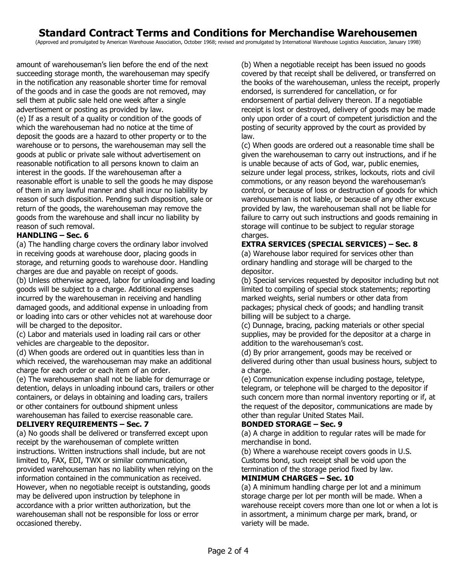# **Standard Contract Terms and Conditions for Merchandise Warehousemen**

(Approved and promulgated by American Warehouse Association, October 1968; revised and promulgated by International Warehouse Logistics Association, January 1998)

amount of warehouseman's lien before the end of the next succeeding storage month, the warehouseman may specify in the notification any reasonable shorter time for removal of the goods and in case the goods are not removed, may sell them at public sale held one week after a single advertisement or posting as provided by law.

(e) If as a result of a quality or condition of the goods of which the warehouseman had no notice at the time of deposit the goods are a hazard to other property or to the warehouse or to persons, the warehouseman may sell the goods at public or private sale without advertisement on reasonable notification to all persons known to claim an interest in the goods. If the warehouseman after a reasonable effort is unable to sell the goods he may dispose of them in any lawful manner and shall incur no liability by reason of such disposition. Pending such disposition, sale or return of the goods, the warehouseman may remove the goods from the warehouse and shall incur no liability by reason of such removal.

## **HANDLING – Sec. 6**

(a) The handling charge covers the ordinary labor involved in receiving goods at warehouse door, placing goods in storage, and returning goods to warehouse door. Handling charges are due and payable on receipt of goods.

(b) Unless otherwise agreed, labor for unloading and loading goods will be subject to a charge. Additional expenses incurred by the warehouseman in receiving and handling damaged goods, and additional expense in unloading from or loading into cars or other vehicles not at warehouse door will be charged to the depositor.

(c) Labor and materials used in loading rail cars or other vehicles are chargeable to the depositor.

(d) When goods are ordered out in quantities less than in which received, the warehouseman may make an additional charge for each order or each item of an order.

(e) The warehouseman shall not be liable for demurrage or detention, delays in unloading inbound cars, trailers or other containers, or delays in obtaining and loading cars, trailers or other containers for outbound shipment unless warehouseman has failed to exercise reasonable care.

## **DELIVERY REQUIREMENTS - Sec. 7**

(a) No goods shall be delivered or transferred except upon receipt by the warehouseman of complete written instructions. Written instructions shall include, but are not limited to, FAX, EDI, TWX or similar communication, provided warehouseman has no liability when relying on the information contained in the communication as received. However, when no negotiable receipt is outstanding, goods may be delivered upon instruction by telephone in accordance with a prior written authorization, but the warehouseman shall not be responsible for loss or error occasioned thereby.

(b) When a negotiable receipt has been issued no goods covered by that receipt shall be delivered, or transferred on the books of the warehouseman, unless the receipt, properly endorsed, is surrendered for cancellation, or for endorsement of partial delivery thereon. If a negotiable receipt is lost or destroyed, delivery of goods may be made only upon order of a court of competent jurisdiction and the posting of security approved by the court as provided by law.

(c) When goods are ordered out a reasonable time shall be given the warehouseman to carry out instructions, and if he is unable because of acts of God, war, public enemies, seizure under legal process, strikes, lockouts, riots and civil commotions, or any reason beyond the warehouseman's control, or because of loss or destruction of goods for which warehouseman is not liable, or because of any other excuse provided by law, the warehouseman shall not be liable for failure to carry out such instructions and goods remaining in storage will continue to be subject to regular storage charges.

## **EXTRA SERVICES (SPECIAL SERVICES) – Sec. 8**

(a) Warehouse labor required for services other than ordinary handling and storage will be charged to the depositor.

(b) Special services requested by depositor including but not limited to compiling of special stock statements; reporting marked weights, serial numbers or other data from packages; physical check of goods; and handling transit billing will be subject to a charge.

(c) Dunnage, bracing, packing materials or other special supplies, may be provided for the depositor at a charge in addition to the warehouseman's cost.

(d) By prior arrangement, goods may be received or delivered during other than usual business hours, subject to a charge.

(e) Communication expense including postage, teletype, telegram, or telephone will be charged to the depositor if such concern more than normal inventory reporting or if, at the request of the depositor, communications are made by other than regular United States Mail.

## **BONDED STORAGE - Sec. 9**

(a) A charge in addition to regular rates will be made for merchandise in bond.

(b) Where a warehouse receipt covers goods in U.S. Customs bond, such receipt shall be void upon the termination of the storage period fixed by law.

## **MINIMUM CHARGES - Sec. 10**

(a) A minimum handling charge per lot and a minimum storage charge per lot per month will be made. When a warehouse receipt covers more than one lot or when a lot is in assortment, a minimum charge per mark, brand, or variety will be made.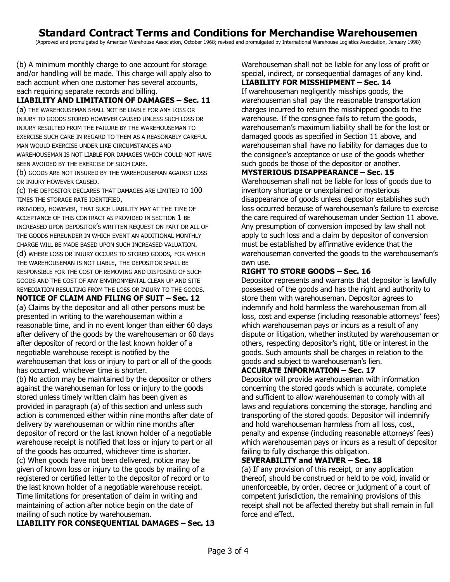# **Standard Contract Terms and Conditions for Merchandise Warehousemen**

(Approved and promulgated by American Warehouse Association, October 1968; revised and promulgated by International Warehouse Logistics Association, January 1998)

(b) A minimum monthly charge to one account for storage and/or handling will be made. This charge will apply also to each account when one customer has several accounts, each requiring separate records and billing.

## **LIABILITY AND LIMITATION OF DAMAGES - Sec. 11**

(a) THE WAREHOUSEMAN SHALL NOT BE LIABLE FOR ANY LOSS OR INJURY TO GOODS STORED HOWEVER CAUSED UNLESS SUCH LOSS OR INJURY RESULTED FROM THE FAILURE BY THE WAREHOUSEMAN TO EXERCISE SUCH CARE IN REGARD TO THEM AS A REASONABLY CAREFUL MAN WOULD EXERCISE UNDER LIKE CIRCUMSTANCES AND WAREHOUSEMAN IS NOT LIABLE FOR DAMAGES WHICH COULD NOT HAVE BEEN AVOIDED BY THE EXERCISE OF SUCH CARE.

(b) GOODS ARE NOT INSURED BY THE WAREHOUSEMAN AGAINST LOSS OR INJURY HOWEVER CAUSED.

(c) THE DEPOSITOR DECLARES THAT DAMAGES ARE LIMITED TO 100 TIMES THE STORAGE RATE IDENTIFIED,

PROVIDED, HOWEVER, THAT SUCH LIABILITY MAY AT THE TIME OF ACCEPTANCE OF THIS CONTRACT AS PROVIDED IN SECTION 1 BE INCREASED UPON DEPOSITOR'S WRITTEN REQUEST ON PART OR ALL OF THE GOODS HEREUNDER IN WHICH EVENT AN ADDITIONAL MONTHLY CHARGE WILL BE MADE BASED UPON SUCH INCREASED VALUATION. (d) WHERE LOSS OR INJURY OCCURS TO STORED GOODS, FOR WHICH THE WAREHOUSEMAN IS NOT LIABLE, THE DEPOSITOR SHALL BE RESPONSIBLE FOR THE COST OF REMOVING AND DISPOSING OF SUCH GOODS AND THE COST OF ANY ENVIRONMENTAL CLEAN UP AND SITE REMEDIATION RESULTING FROM THE LOSS OR INJURY TO THE GOODS. **NOTICE OF CLAIM AND FILING OF SUIT - Sec. 12** 

(a) Claims by the depositor and all other persons must be presented in writing to the warehouseman within a reasonable time, and in no event longer than either 60 days after delivery of the goods by the warehouseman or 60 days after depositor of record or the last known holder of a negotiable warehouse receipt is notified by the warehouseman that loss or injury to part or all of the goods has occurred, whichever time is shorter.

(b) No action may be maintained by the depositor or others against the warehouseman for loss or injury to the goods stored unless timely written claim has been given as provided in paragraph (a) of this section and unless such action is commenced either within nine months after date of delivery by warehouseman or within nine months after depositor of record or the last known holder of a negotiable warehouse receipt is notified that loss or injury to part or all of the goods has occurred, whichever time is shorter. (c) When goods have not been delivered, notice may be given of known loss or injury to the goods by mailing of a registered or certified letter to the depositor of record or to the last known holder of a negotiable warehouse receipt. Time limitations for presentation of claim in writing and maintaining of action after notice begin on the date of mailing of such notice by warehouseman.

**LIABILITY FOR CONSEQUENTIAL DAMAGES - Sec. 13** 

Warehouseman shall not be liable for any loss of profit or special, indirect, or consequential damages of any kind.

# **LIABILITY FOR MISSHIPMENT - Sec. 14**

If warehouseman negligently misships goods, the warehouseman shall pay the reasonable transportation charges incurred to return the misshipped goods to the warehouse. If the consignee fails to return the goods, warehouseman's maximum liability shall be for the lost or damaged goods as specified in Section 11 above, and warehouseman shall have no liability for damages due to the consignee's acceptance or use of the goods whether such goods be those of the depositor or another.

## **MYSTERIOUS DISAPPEARANCE - Sec. 15**

Warehouseman shall not be liable for loss of goods due to inventory shortage or unexplained or mysterious disappearance of goods unless depositor establishes such loss occurred because of warehouseman's failure to exercise the care required of warehouseman under Section 11 above. Any presumption of conversion imposed by law shall not apply to such loss and a claim by depositor of conversion must be established by affirmative evidence that the warehouseman converted the goods to the warehouseman's own use.

# **RIGHT TO STORE GOODS - Sec. 16**

Depositor represents and warrants that depositor is lawfully possessed of the goods and has the right and authority to store them with warehouseman. Depositor agrees to indemnify and hold harmless the warehouseman from all loss, cost and expense (including reasonable attorneys' fees) which warehouseman pays or incurs as a result of any dispute or litigation, whether instituted by warehouseman or others, respecting depositor's right, title or interest in the goods. Such amounts shall be charges in relation to the goods and subject to warehousemanís lien.

## **ACCURATE INFORMATION – Sec. 17**

Depositor will provide warehouseman with information concerning the stored goods which is accurate, complete and sufficient to allow warehouseman to comply with all laws and regulations concerning the storage, handling and transporting of the stored goods. Depositor will indemnify and hold warehouseman harmless from all loss, cost, penalty and expense (including reasonable attorneys' fees) which warehouseman pays or incurs as a result of depositor failing to fully discharge this obligation.

## **SEVERABILITY and WAIVER - Sec. 18**

(a) If any provision of this receipt, or any application thereof, should be construed or held to be void, invalid or unenforceable, by order, decree or judgment of a court of competent jurisdiction, the remaining provisions of this receipt shall not be affected thereby but shall remain in full force and effect.